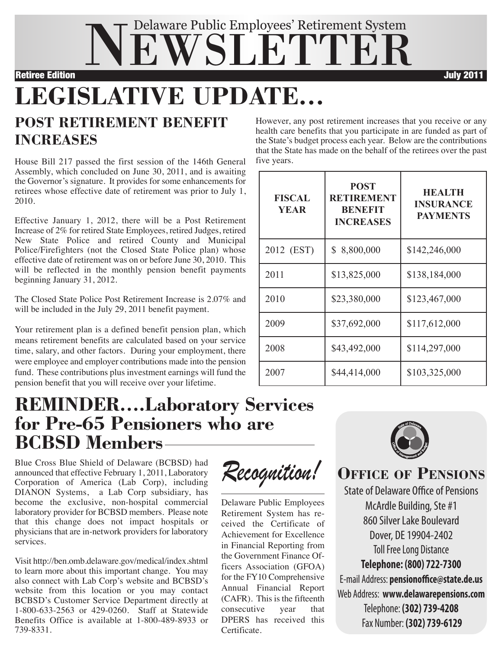

## **POST RETIREMENT BENEFIT LEGISLATIVE UPDATE...**

# **INCREASES**

House Bill 217 passed the first session of the 146th General Assembly, which concluded on June 30, 2011, and is awaiting the Governor's signature. It provides for some enhancements for retirees whose effective date of retirement was prior to July 1, 2010.

Effective January 1, 2012, there will be a Post Retirement Increase of 2% for retired State Employees, retired Judges, retired New State Police and retired County and Municipal Police/Firefighters (not the Closed State Police plan) whose effective date of retirement was on or before June 30, 2010. This will be reflected in the monthly pension benefit payments beginning January 31, 2012.

The Closed State Police Post Retirement Increase is 2.07% and will be included in the July 29, 2011 benefit payment.

Your retirement plan is a defined benefit pension plan, which means retirement benefits are calculated based on your service time, salary, and other factors. During your employment, there were employee and employer contributions made into the pension fund. These contributions plus investment earnings will fund the pension benefit that you will receive over your lifetime.

## **REMINDER….Laboratory Services for Pre-65 Pensioners who are BCBSD Members**

Blue Cross Blue Shield of Delaware (BCBSD) had announced that effective February 1, 2011, Laboratory Corporation of America (Lab Corp), including DIANON Systems, a Lab Corp subsidiary, has become the exclusive, non-hospital commercial laboratory provider for BCBSD members. Please note that this change does not impact hospitals or physicians that are in-network providers for laboratory services.

Visit http://ben.omb.delaware.gov/medical/index.shtml to learn more about this important change. You may also connect with Lab Corp's website and BCBSD's website from this location or you may contact BCBSD's Customer Service Department directly at 1-800-633-2563 or 429-0260. Staff at Statewide Benefits Office is available at 1-800-489-8933 or 739-8331.

Recognition!

Delaware Public Employees Retirement System has received the Certificate of Achievement for Excellence in Financial Reporting from the Government Finance Officers Association (GFOA) for the FY10 Comprehensive Annual Financial Report (CAFR). This is the fifteenth consecutive year that DPERS has received this Certificate.

However, any post retirement increases that you receive or any health care benefits that you participate in are funded as part of the State's budget process each year. Below are the contributions that the State has made on the behalf of the retirees over the past five years.

| <b>FISCAL</b><br><b>YEAR</b> | <b>POST</b><br><b>RETIREMENT</b><br><b>BENEFIT</b><br><b>INCREASES</b> | <b>HEALTH</b><br><b>INSURANCE</b><br><b>PAYMENTS</b> |
|------------------------------|------------------------------------------------------------------------|------------------------------------------------------|
| 2012 (EST)                   | 8,800,000<br>\$                                                        | \$142,246,000                                        |
| 2011                         | \$13,825,000                                                           | \$138,184,000                                        |
| 2010                         | \$23,380,000                                                           | \$123,467,000                                        |
| 2009                         | \$37,692,000                                                           | \$117,612,000                                        |
| 2008                         | \$43,492,000                                                           | \$114,297,000                                        |
| 2007                         | \$44,414,000                                                           | \$103,325,000                                        |



### **OFFICE OF PENSIONS**

**Toll Free Long Distance Telephone: (800) 722-7300** E-mail Address: **pensionoffice@state.de.us** State of Delaware Office of Pensions McArdle Building, Ste #1 860 Silver Lake Boulevard Dover, DE 19904-2402

Web Address: **www.delawarepensions.com**

Telephone: **(302) 739-4208** Fax Number: **(302) 739-6129**